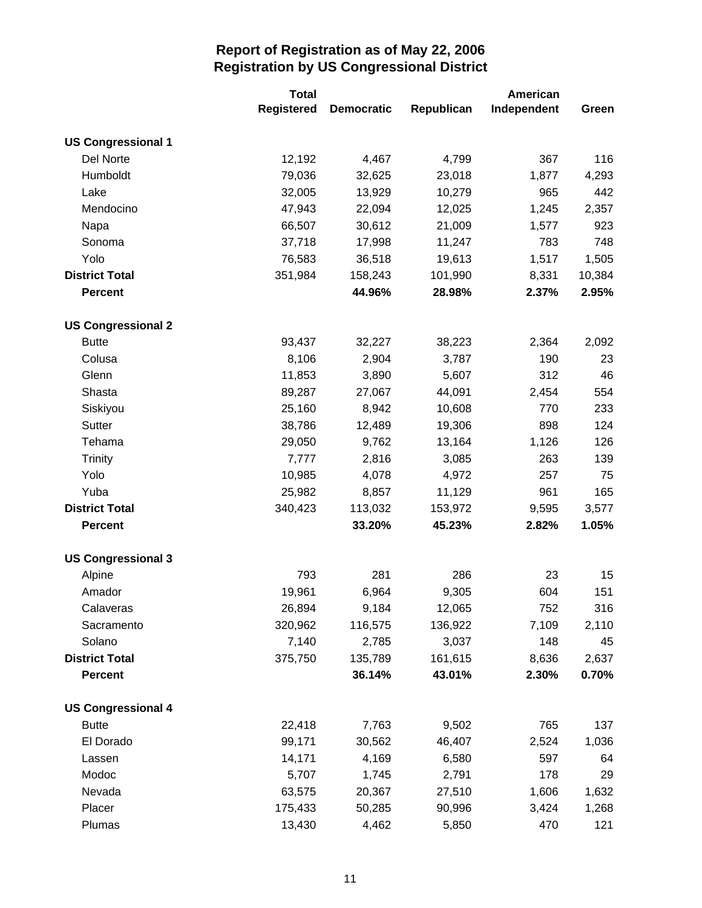|                           | <b>Total</b>      |                   | American   |             |        |
|---------------------------|-------------------|-------------------|------------|-------------|--------|
|                           | <b>Registered</b> | <b>Democratic</b> | Republican | Independent | Green  |
| <b>US Congressional 1</b> |                   |                   |            |             |        |
| Del Norte                 | 12,192            | 4,467             | 4,799      | 367         | 116    |
| Humboldt                  | 79,036            | 32,625            | 23,018     | 1,877       | 4,293  |
| Lake                      | 32,005            | 13,929            | 10,279     | 965         | 442    |
| Mendocino                 | 47,943            | 22,094            | 12,025     | 1,245       | 2,357  |
| Napa                      | 66,507            | 30,612            | 21,009     | 1,577       | 923    |
| Sonoma                    | 37,718            | 17,998            | 11,247     | 783         | 748    |
| Yolo                      | 76,583            | 36,518            | 19,613     | 1,517       | 1,505  |
| <b>District Total</b>     | 351,984           | 158,243           | 101,990    | 8,331       | 10,384 |
| <b>Percent</b>            |                   | 44.96%            | 28.98%     | 2.37%       | 2.95%  |
| <b>US Congressional 2</b> |                   |                   |            |             |        |
| <b>Butte</b>              | 93,437            | 32,227            | 38,223     | 2,364       | 2,092  |
| Colusa                    | 8,106             | 2,904             | 3,787      | 190         | 23     |
| Glenn                     | 11,853            | 3,890             | 5,607      | 312         | 46     |
| Shasta                    | 89,287            | 27,067            | 44,091     | 2,454       | 554    |
| Siskiyou                  | 25,160            | 8,942             | 10,608     | 770         | 233    |
| Sutter                    | 38,786            | 12,489            | 19,306     | 898         | 124    |
| Tehama                    | 29,050            | 9,762             | 13,164     | 1,126       | 126    |
| <b>Trinity</b>            | 7,777             | 2,816             | 3,085      | 263         | 139    |
| Yolo                      | 10,985            | 4,078             | 4,972      | 257         | 75     |
| Yuba                      | 25,982            | 8,857             | 11,129     | 961         | 165    |
| <b>District Total</b>     | 340,423           | 113,032           | 153,972    | 9,595       | 3,577  |
| <b>Percent</b>            |                   | 33.20%            | 45.23%     | 2.82%       | 1.05%  |
| <b>US Congressional 3</b> |                   |                   |            |             |        |
| Alpine                    | 793               | 281               | 286        | 23          | 15     |
| Amador                    | 19,961            | 6,964             | 9,305      | 604         | 151    |
| Calaveras                 | 26,894            | 9,184             | 12,065     | 752         | 316    |
| Sacramento                | 320,962           | 116,575           | 136,922    | 7,109       | 2,110  |
| Solano                    | 7,140             | 2,785             | 3,037      | 148         | 45     |
| <b>District Total</b>     | 375,750           | 135,789           | 161,615    | 8,636       | 2,637  |
| <b>Percent</b>            |                   | 36.14%            | 43.01%     | 2.30%       | 0.70%  |
| <b>US Congressional 4</b> |                   |                   |            |             |        |
| <b>Butte</b>              | 22,418            | 7,763             | 9,502      | 765         | 137    |
| El Dorado                 | 99,171            | 30,562            | 46,407     | 2,524       | 1,036  |
| Lassen                    | 14,171            | 4,169             | 6,580      | 597         | 64     |
| Modoc                     | 5,707             | 1,745             | 2,791      | 178         | 29     |
| Nevada                    | 63,575            | 20,367            | 27,510     | 1,606       | 1,632  |
| Placer                    | 175,433           | 50,285            | 90,996     | 3,424       | 1,268  |
| Plumas                    | 13,430            | 4,462             | 5,850      | 470         | 121    |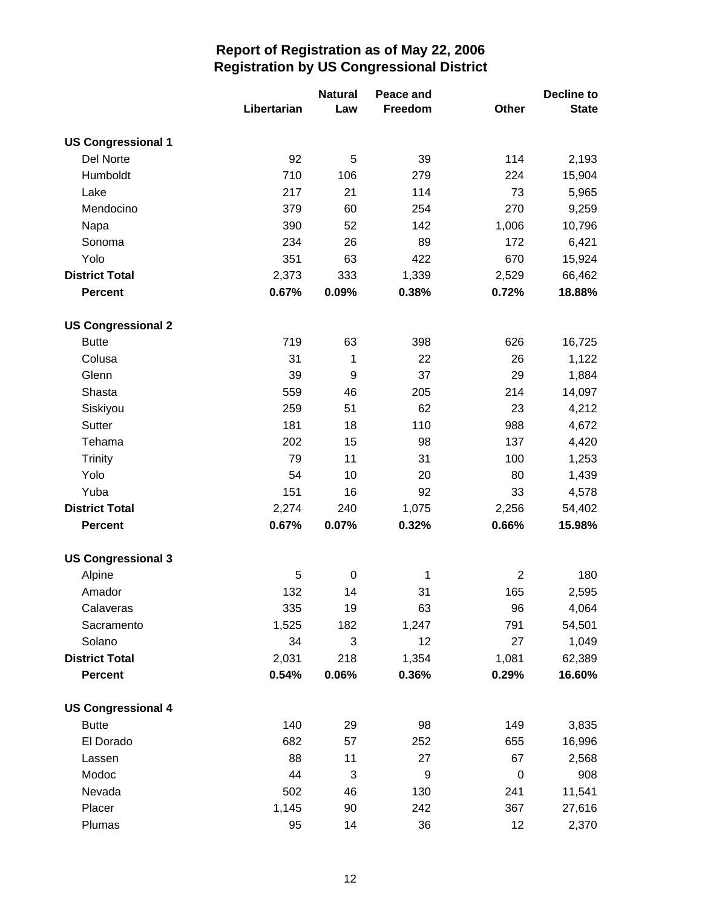|                           |             | <b>Natural</b> | Peace and |                | Decline to   |
|---------------------------|-------------|----------------|-----------|----------------|--------------|
|                           | Libertarian | Law            | Freedom   | Other          | <b>State</b> |
| <b>US Congressional 1</b> |             |                |           |                |              |
| Del Norte                 | 92          | 5              | 39        | 114            | 2,193        |
| Humboldt                  | 710         | 106            | 279       | 224            | 15,904       |
| Lake                      | 217         | 21             | 114       | 73             | 5,965        |
| Mendocino                 | 379         | 60             | 254       | 270            | 9,259        |
| Napa                      | 390         | 52             | 142       | 1,006          | 10,796       |
| Sonoma                    | 234         | 26             | 89        | 172            | 6,421        |
| Yolo                      | 351         | 63             | 422       | 670            | 15,924       |
| <b>District Total</b>     | 2,373       | 333            | 1,339     | 2,529          | 66,462       |
| <b>Percent</b>            | 0.67%       | 0.09%          | 0.38%     | 0.72%          | 18.88%       |
| <b>US Congressional 2</b> |             |                |           |                |              |
| <b>Butte</b>              | 719         | 63             | 398       | 626            | 16,725       |
| Colusa                    | 31          | 1              | 22        | 26             | 1,122        |
| Glenn                     | 39          | 9              | 37        | 29             | 1,884        |
| Shasta                    | 559         | 46             | 205       | 214            | 14,097       |
| Siskiyou                  | 259         | 51             | 62        | 23             | 4,212        |
| <b>Sutter</b>             | 181         | 18             | 110       | 988            | 4,672        |
| Tehama                    | 202         | 15             | 98        | 137            | 4,420        |
| <b>Trinity</b>            | 79          | 11             | 31        | 100            | 1,253        |
| Yolo                      | 54          | 10             | 20        | 80             | 1,439        |
| Yuba                      | 151         | 16             | 92        | 33             | 4,578        |
| <b>District Total</b>     | 2,274       | 240            | 1,075     | 2,256          | 54,402       |
| <b>Percent</b>            | 0.67%       | 0.07%          | 0.32%     | 0.66%          | 15.98%       |
| <b>US Congressional 3</b> |             |                |           |                |              |
| Alpine                    | 5           | $\mathbf 0$    | 1         | $\overline{2}$ | 180          |
| Amador                    | 132         | 14             | 31        | 165            | 2,595        |
| Calaveras                 | 335         | 19             | 63        | 96             | 4,064        |
| Sacramento                | 1,525       | 182            | 1,247     | 791            | 54,501       |
| Solano                    | 34          | 3              | 12        | 27             | 1,049        |
| <b>District Total</b>     | 2,031       | 218            | 1,354     | 1,081          | 62,389       |
| <b>Percent</b>            | 0.54%       | 0.06%          | 0.36%     | 0.29%          | 16.60%       |
| <b>US Congressional 4</b> |             |                |           |                |              |
| <b>Butte</b>              | 140         | 29             | 98        | 149            | 3,835        |
| El Dorado                 | 682         | 57             | 252       | 655            | 16,996       |
| Lassen                    | 88          | 11             | 27        | 67             | 2,568        |
| Modoc                     | 44          | 3              | 9         | $\pmb{0}$      | 908          |
| Nevada                    | 502         | 46             | 130       | 241            | 11,541       |
| Placer                    | 1,145       | 90             | 242       | 367            | 27,616       |
| Plumas                    | 95          | 14             | 36        | 12             | 2,370        |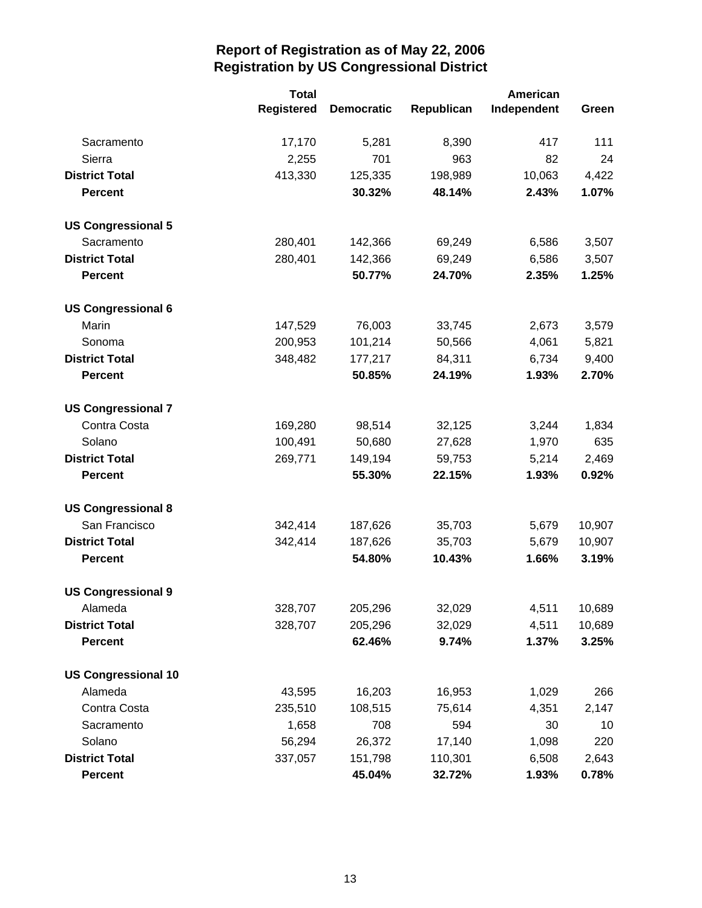|                            | <b>Total</b>      |                   | <b>American</b> |             |        |
|----------------------------|-------------------|-------------------|-----------------|-------------|--------|
|                            | <b>Registered</b> | <b>Democratic</b> | Republican      | Independent | Green  |
| Sacramento                 | 17,170            | 5,281             | 8,390           | 417         | 111    |
| Sierra                     | 2,255             | 701               | 963             | 82          | 24     |
| <b>District Total</b>      | 413,330           | 125,335           | 198,989         | 10,063      | 4,422  |
| <b>Percent</b>             |                   | 30.32%            | 48.14%          | 2.43%       | 1.07%  |
| <b>US Congressional 5</b>  |                   |                   |                 |             |        |
| Sacramento                 | 280,401           | 142,366           | 69,249          | 6,586       | 3,507  |
| <b>District Total</b>      | 280,401           | 142,366           | 69,249          | 6,586       | 3,507  |
| <b>Percent</b>             |                   | 50.77%            | 24.70%          | 2.35%       | 1.25%  |
| <b>US Congressional 6</b>  |                   |                   |                 |             |        |
| Marin                      | 147,529           | 76,003            | 33,745          | 2,673       | 3,579  |
| Sonoma                     | 200,953           | 101,214           | 50,566          | 4,061       | 5,821  |
| <b>District Total</b>      | 348,482           | 177,217           | 84,311          | 6,734       | 9,400  |
| <b>Percent</b>             |                   | 50.85%            | 24.19%          | 1.93%       | 2.70%  |
| <b>US Congressional 7</b>  |                   |                   |                 |             |        |
| Contra Costa               | 169,280           | 98,514            | 32,125          | 3,244       | 1,834  |
| Solano                     | 100,491           | 50,680            | 27,628          | 1,970       | 635    |
| <b>District Total</b>      | 269,771           | 149,194           | 59,753          | 5,214       | 2,469  |
| <b>Percent</b>             |                   | 55.30%            | 22.15%          | 1.93%       | 0.92%  |
| <b>US Congressional 8</b>  |                   |                   |                 |             |        |
| San Francisco              | 342,414           | 187,626           | 35,703          | 5,679       | 10,907 |
| <b>District Total</b>      | 342,414           | 187,626           | 35,703          | 5,679       | 10,907 |
| <b>Percent</b>             |                   | 54.80%            | 10.43%          | 1.66%       | 3.19%  |
| <b>US Congressional 9</b>  |                   |                   |                 |             |        |
| Alameda                    | 328,707           | 205,296           | 32,029          | 4,511       | 10,689 |
| <b>District Total</b>      | 328,707           | 205,296           | 32,029          | 4,511       | 10,689 |
| <b>Percent</b>             |                   | 62.46%            | 9.74%           | 1.37%       | 3.25%  |
| <b>US Congressional 10</b> |                   |                   |                 |             |        |
| Alameda                    | 43,595            | 16,203            | 16,953          | 1,029       | 266    |
| Contra Costa               | 235,510           | 108,515           | 75,614          | 4,351       | 2,147  |
| Sacramento                 | 1,658             | 708               | 594             | 30          | 10     |
| Solano                     | 56,294            | 26,372            | 17,140          | 1,098       | 220    |
| <b>District Total</b>      | 337,057           | 151,798           | 110,301         | 6,508       | 2,643  |
| <b>Percent</b>             |                   | 45.04%            | 32.72%          | 1.93%       | 0.78%  |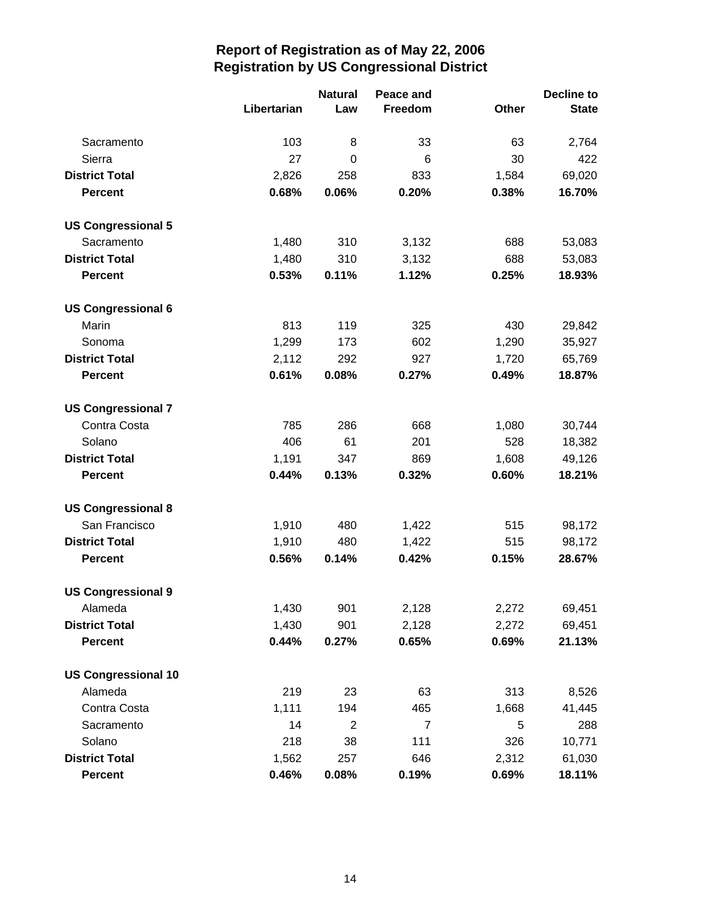|                            |             | <b>Natural</b><br>Peace and |                |       | <b>Decline to</b> |  |
|----------------------------|-------------|-----------------------------|----------------|-------|-------------------|--|
|                            | Libertarian | Law                         | Freedom        | Other | <b>State</b>      |  |
| Sacramento                 | 103         | 8                           | 33             | 63    | 2,764             |  |
| Sierra                     | 27          | 0                           | 6              | 30    | 422               |  |
| <b>District Total</b>      | 2,826       | 258                         | 833            | 1,584 | 69,020            |  |
| <b>Percent</b>             | 0.68%       | 0.06%                       | 0.20%          | 0.38% | 16.70%            |  |
| <b>US Congressional 5</b>  |             |                             |                |       |                   |  |
| Sacramento                 | 1,480       | 310                         | 3,132          | 688   | 53,083            |  |
| <b>District Total</b>      | 1,480       | 310                         | 3,132          | 688   | 53,083            |  |
| <b>Percent</b>             | 0.53%       | 0.11%                       | 1.12%          | 0.25% | 18.93%            |  |
| <b>US Congressional 6</b>  |             |                             |                |       |                   |  |
| Marin                      | 813         | 119                         | 325            | 430   | 29,842            |  |
| Sonoma                     | 1,299       | 173                         | 602            | 1,290 | 35,927            |  |
| <b>District Total</b>      | 2,112       | 292                         | 927            | 1,720 | 65,769            |  |
| <b>Percent</b>             | 0.61%       | 0.08%                       | 0.27%          | 0.49% | 18.87%            |  |
| <b>US Congressional 7</b>  |             |                             |                |       |                   |  |
| Contra Costa               | 785         | 286                         | 668            | 1,080 | 30,744            |  |
| Solano                     | 406         | 61                          | 201            | 528   | 18,382            |  |
| <b>District Total</b>      | 1,191       | 347                         | 869            | 1,608 | 49,126            |  |
| <b>Percent</b>             | 0.44%       | 0.13%                       | 0.32%          | 0.60% | 18.21%            |  |
| <b>US Congressional 8</b>  |             |                             |                |       |                   |  |
| San Francisco              | 1,910       | 480                         | 1,422          | 515   | 98,172            |  |
| <b>District Total</b>      | 1,910       | 480                         | 1,422          | 515   | 98,172            |  |
| <b>Percent</b>             | 0.56%       | 0.14%                       | 0.42%          | 0.15% | 28.67%            |  |
| <b>US Congressional 9</b>  |             |                             |                |       |                   |  |
| Alameda                    | 1,430       | 901                         | 2,128          | 2,272 | 69,451            |  |
| <b>District Total</b>      | 1,430       | 901                         | 2,128          | 2,272 | 69,451            |  |
| <b>Percent</b>             | 0.44%       | 0.27%                       | 0.65%          | 0.69% | 21.13%            |  |
| <b>US Congressional 10</b> |             |                             |                |       |                   |  |
| Alameda                    | 219         | 23                          | 63             | 313   | 8,526             |  |
| Contra Costa               | 1,111       | 194                         | 465            | 1,668 | 41,445            |  |
| Sacramento                 | 14          | $\overline{2}$              | $\overline{7}$ | 5     | 288               |  |
| Solano                     | 218         | 38                          | 111            | 326   | 10,771            |  |
| <b>District Total</b>      | 1,562       | 257                         | 646            | 2,312 | 61,030            |  |
| <b>Percent</b>             | 0.46%       | 0.08%                       | 0.19%          | 0.69% | 18.11%            |  |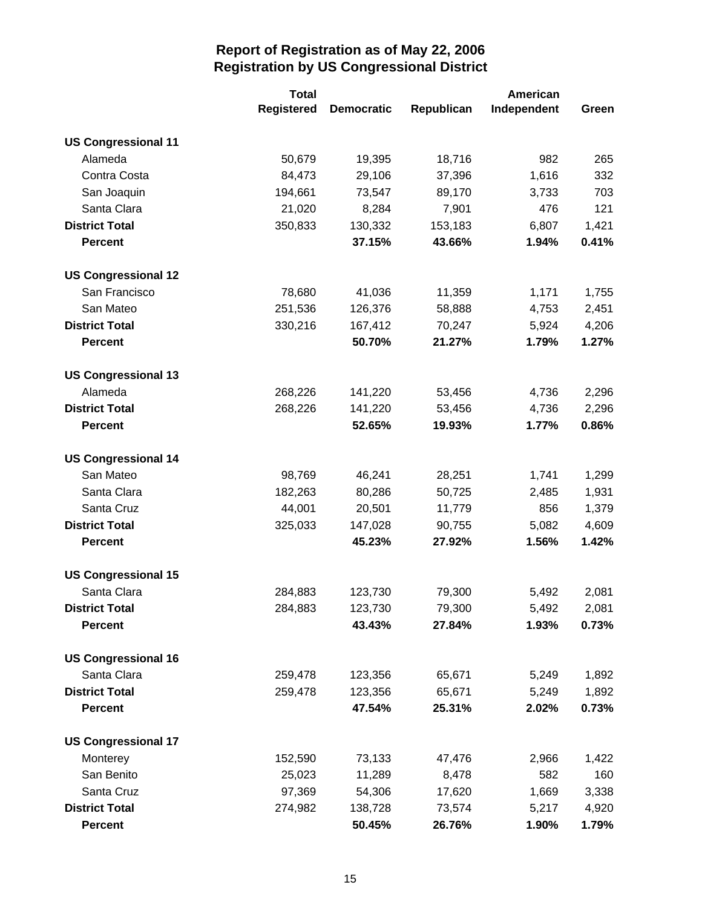|                            | <b>Total</b>      |                   | American   |             |       |
|----------------------------|-------------------|-------------------|------------|-------------|-------|
|                            | <b>Registered</b> | <b>Democratic</b> | Republican | Independent | Green |
| <b>US Congressional 11</b> |                   |                   |            |             |       |
| Alameda                    | 50,679            | 19,395            | 18,716     | 982         | 265   |
| Contra Costa               | 84,473            | 29,106            | 37,396     | 1,616       | 332   |
| San Joaquin                | 194,661           | 73,547            | 89,170     | 3,733       | 703   |
| Santa Clara                | 21,020            | 8,284             | 7,901      | 476         | 121   |
| <b>District Total</b>      | 350,833           | 130,332           | 153,183    | 6,807       | 1,421 |
| <b>Percent</b>             |                   | 37.15%            | 43.66%     | 1.94%       | 0.41% |
| <b>US Congressional 12</b> |                   |                   |            |             |       |
| San Francisco              | 78,680            | 41,036            | 11,359     | 1,171       | 1,755 |
| San Mateo                  | 251,536           | 126,376           | 58,888     | 4,753       | 2,451 |
| <b>District Total</b>      | 330,216           | 167,412           | 70,247     | 5,924       | 4,206 |
| <b>Percent</b>             |                   | 50.70%            | 21.27%     | 1.79%       | 1.27% |
| <b>US Congressional 13</b> |                   |                   |            |             |       |
| Alameda                    | 268,226           | 141,220           | 53,456     | 4,736       | 2,296 |
| <b>District Total</b>      | 268,226           | 141,220           | 53,456     | 4,736       | 2,296 |
| <b>Percent</b>             |                   | 52.65%            | 19.93%     | 1.77%       | 0.86% |
| <b>US Congressional 14</b> |                   |                   |            |             |       |
| San Mateo                  | 98,769            | 46,241            | 28,251     | 1,741       | 1,299 |
| Santa Clara                | 182,263           | 80,286            | 50,725     | 2,485       | 1,931 |
| Santa Cruz                 | 44,001            | 20,501            | 11,779     | 856         | 1,379 |
| <b>District Total</b>      | 325,033           | 147,028           | 90,755     | 5,082       | 4,609 |
| <b>Percent</b>             |                   | 45.23%            | 27.92%     | 1.56%       | 1.42% |
| <b>US Congressional 15</b> |                   |                   |            |             |       |
| Santa Clara                | 284,883           | 123,730           | 79,300     | 5,492       | 2,081 |
| <b>District Total</b>      | 284,883           | 123,730           | 79,300     | 5,492       | 2,081 |
| <b>Percent</b>             |                   | 43.43%            | 27.84%     | 1.93%       | 0.73% |
| <b>US Congressional 16</b> |                   |                   |            |             |       |
| Santa Clara                | 259,478           | 123,356           | 65,671     | 5,249       | 1,892 |
| <b>District Total</b>      | 259,478           | 123,356           | 65,671     | 5,249       | 1,892 |
| <b>Percent</b>             |                   | 47.54%            | 25.31%     | 2.02%       | 0.73% |
| <b>US Congressional 17</b> |                   |                   |            |             |       |
| Monterey                   | 152,590           | 73,133            | 47,476     | 2,966       | 1,422 |
| San Benito                 | 25,023            | 11,289            | 8,478      | 582         | 160   |
| Santa Cruz                 | 97,369            | 54,306            | 17,620     | 1,669       | 3,338 |
| <b>District Total</b>      | 274,982           | 138,728           | 73,574     | 5,217       | 4,920 |
| <b>Percent</b>             |                   | 50.45%            | 26.76%     | 1.90%       | 1.79% |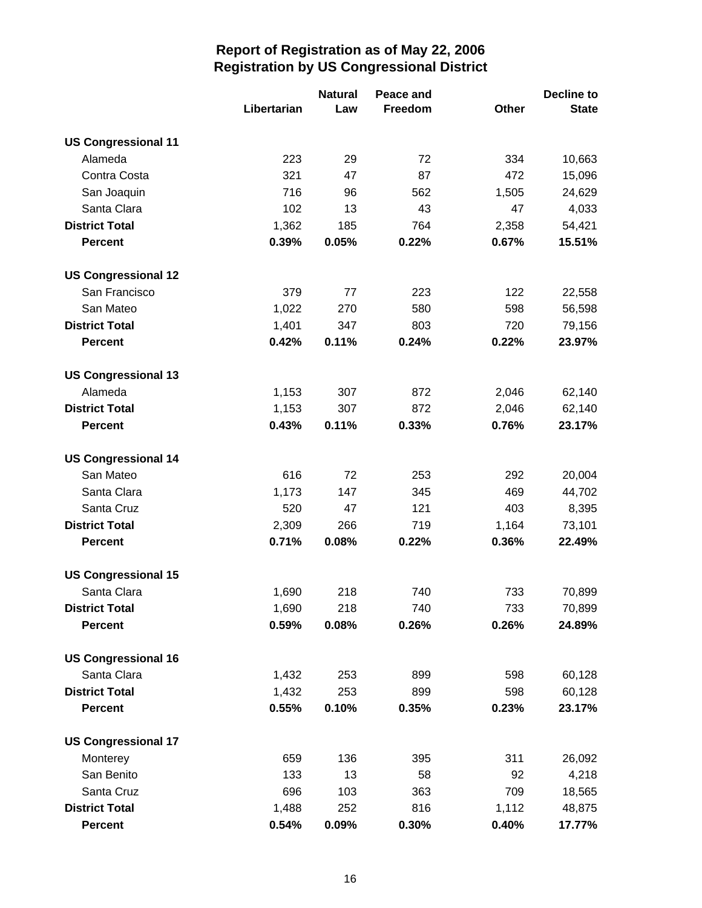|                            |             | <b>Natural</b> | Peace and |              | Decline to   |
|----------------------------|-------------|----------------|-----------|--------------|--------------|
|                            | Libertarian | Law            | Freedom   | <b>Other</b> | <b>State</b> |
| <b>US Congressional 11</b> |             |                |           |              |              |
| Alameda                    | 223         | 29             | 72        | 334          | 10,663       |
| Contra Costa               | 321         | 47             | 87        | 472          | 15,096       |
| San Joaquin                | 716         | 96             | 562       | 1,505        | 24,629       |
| Santa Clara                | 102         | 13             | 43        | 47           | 4,033        |
| <b>District Total</b>      | 1,362       | 185            | 764       | 2,358        | 54,421       |
| <b>Percent</b>             | 0.39%       | 0.05%          | 0.22%     | 0.67%        | 15.51%       |
| <b>US Congressional 12</b> |             |                |           |              |              |
| San Francisco              | 379         | 77             | 223       | 122          | 22,558       |
| San Mateo                  | 1,022       | 270            | 580       | 598          | 56,598       |
| <b>District Total</b>      | 1,401       | 347            | 803       | 720          | 79,156       |
| <b>Percent</b>             | 0.42%       | 0.11%          | 0.24%     | 0.22%        | 23.97%       |
| <b>US Congressional 13</b> |             |                |           |              |              |
| Alameda                    | 1,153       | 307            | 872       | 2,046        | 62,140       |
| <b>District Total</b>      | 1,153       | 307            | 872       | 2,046        | 62,140       |
| <b>Percent</b>             | 0.43%       | 0.11%          | 0.33%     | 0.76%        | 23.17%       |
| <b>US Congressional 14</b> |             |                |           |              |              |
| San Mateo                  | 616         | 72             | 253       | 292          | 20,004       |
| Santa Clara                | 1,173       | 147            | 345       | 469          | 44,702       |
| Santa Cruz                 | 520         | 47             | 121       | 403          | 8,395        |
| <b>District Total</b>      | 2,309       | 266            | 719       | 1,164        | 73,101       |
| <b>Percent</b>             | 0.71%       | 0.08%          | 0.22%     | 0.36%        | 22.49%       |
| <b>US Congressional 15</b> |             |                |           |              |              |
| Santa Clara                | 1,690       | 218            | 740       | 733          | 70,899       |
| <b>District Total</b>      | 1,690       | 218            | 740       | 733          | 70,899       |
| <b>Percent</b>             | 0.59%       | 0.08%          | 0.26%     | 0.26%        | 24.89%       |
| <b>US Congressional 16</b> |             |                |           |              |              |
| Santa Clara                | 1,432       | 253            | 899       | 598          | 60,128       |
| <b>District Total</b>      | 1,432       | 253            | 899       | 598          | 60,128       |
| <b>Percent</b>             | 0.55%       | 0.10%          | 0.35%     | 0.23%        | 23.17%       |
| <b>US Congressional 17</b> |             |                |           |              |              |
| Monterey                   | 659         | 136            | 395       | 311          | 26,092       |
| San Benito                 | 133         | 13             | 58        | 92           | 4,218        |
| Santa Cruz                 | 696         | 103            | 363       | 709          | 18,565       |
| <b>District Total</b>      | 1,488       | 252            | 816       | 1,112        | 48,875       |
| <b>Percent</b>             | 0.54%       | 0.09%          | 0.30%     | 0.40%        | 17.77%       |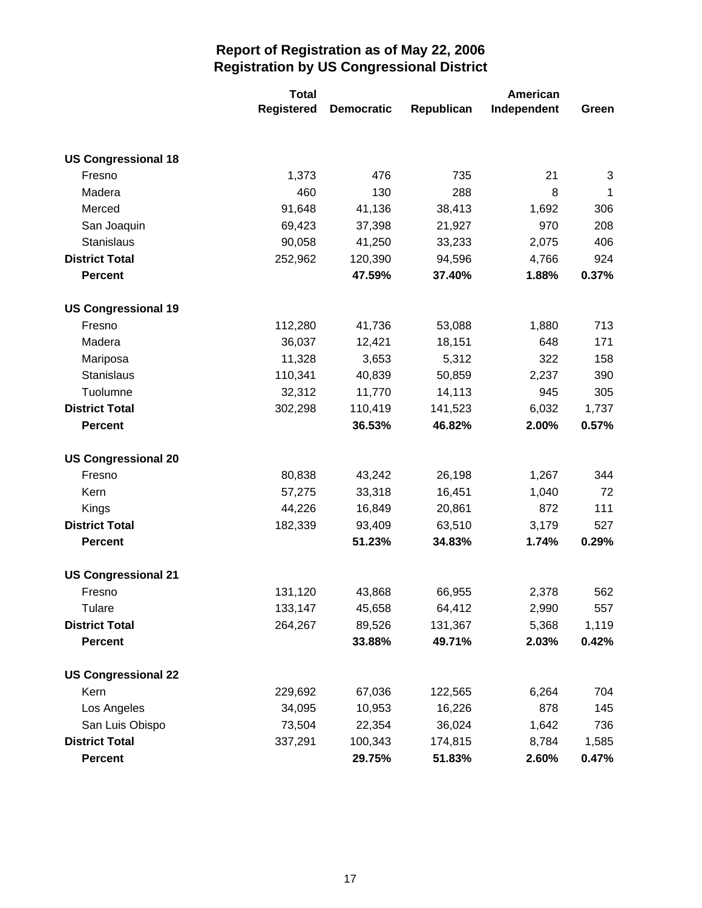|                            | <b>Total</b>      |                   | American   |             |       |
|----------------------------|-------------------|-------------------|------------|-------------|-------|
|                            | <b>Registered</b> | <b>Democratic</b> | Republican | Independent | Green |
|                            |                   |                   |            |             |       |
| <b>US Congressional 18</b> |                   |                   |            |             |       |
| Fresno                     | 1,373             | 476               | 735        | 21          | 3     |
| Madera                     | 460               | 130               | 288        | 8           | 1     |
| Merced                     | 91,648            | 41,136            | 38,413     | 1,692       | 306   |
| San Joaquin                | 69,423            | 37,398            | 21,927     | 970         | 208   |
| Stanislaus                 | 90,058            | 41,250            | 33,233     | 2,075       | 406   |
| <b>District Total</b>      | 252,962           | 120,390           | 94,596     | 4,766       | 924   |
| <b>Percent</b>             |                   | 47.59%            | 37.40%     | 1.88%       | 0.37% |
| <b>US Congressional 19</b> |                   |                   |            |             |       |
| Fresno                     | 112,280           | 41,736            | 53,088     | 1,880       | 713   |
| Madera                     | 36,037            | 12,421            | 18,151     | 648         | 171   |
| Mariposa                   | 11,328            | 3,653             | 5,312      | 322         | 158   |
| Stanislaus                 | 110,341           | 40,839            | 50,859     | 2,237       | 390   |
| Tuolumne                   | 32,312            | 11,770            | 14,113     | 945         | 305   |
| <b>District Total</b>      | 302,298           | 110,419           | 141,523    | 6,032       | 1,737 |
| <b>Percent</b>             |                   | 36.53%            | 46.82%     | 2.00%       | 0.57% |
| <b>US Congressional 20</b> |                   |                   |            |             |       |
| Fresno                     | 80,838            | 43,242            | 26,198     | 1,267       | 344   |
| Kern                       | 57,275            | 33,318            | 16,451     | 1,040       | 72    |
| Kings                      | 44,226            | 16,849            | 20,861     | 872         | 111   |
| <b>District Total</b>      | 182,339           | 93,409            | 63,510     | 3,179       | 527   |
| <b>Percent</b>             |                   | 51.23%            | 34.83%     | 1.74%       | 0.29% |
| <b>US Congressional 21</b> |                   |                   |            |             |       |
| Fresno                     | 131,120           | 43,868            | 66,955     | 2,378       | 562   |
| Tulare                     | 133,147           | 45,658            | 64,412     | 2,990       | 557   |
| <b>District Total</b>      | 264,267           | 89,526            | 131,367    | 5,368       | 1,119 |
| <b>Percent</b>             |                   | 33.88%            | 49.71%     | 2.03%       | 0.42% |
| <b>US Congressional 22</b> |                   |                   |            |             |       |
| Kern                       | 229,692           | 67,036            | 122,565    | 6,264       | 704   |
| Los Angeles                | 34,095            | 10,953            | 16,226     | 878         | 145   |
| San Luis Obispo            | 73,504            | 22,354            | 36,024     | 1,642       | 736   |
| <b>District Total</b>      | 337,291           | 100,343           | 174,815    | 8,784       | 1,585 |
| <b>Percent</b>             |                   | 29.75%            | 51.83%     | 2.60%       | 0.47% |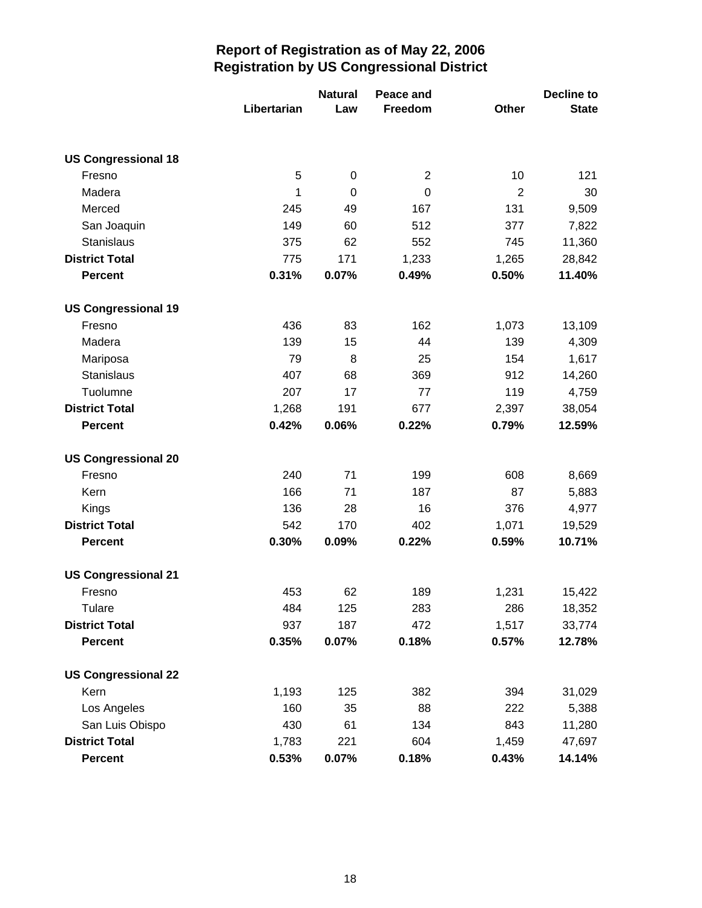|                            | Libertarian | <b>Natural</b><br>Law | Peace and<br>Freedom | Other          | <b>Decline to</b><br><b>State</b> |
|----------------------------|-------------|-----------------------|----------------------|----------------|-----------------------------------|
|                            |             |                       |                      |                |                                   |
| <b>US Congressional 18</b> |             |                       |                      |                |                                   |
| Fresno                     | 5           | $\pmb{0}$             | $\overline{2}$       | 10             | 121                               |
| Madera                     | 1           | $\mathbf 0$           | 0                    | $\overline{2}$ | 30                                |
| Merced                     | 245         | 49                    | 167                  | 131            | 9,509                             |
| San Joaquin                | 149         | 60                    | 512                  | 377            | 7,822                             |
| <b>Stanislaus</b>          | 375         | 62                    | 552                  | 745            | 11,360                            |
| <b>District Total</b>      | 775         | 171                   | 1,233                | 1,265          | 28,842                            |
| <b>Percent</b>             | 0.31%       | 0.07%                 | 0.49%                | 0.50%          | 11.40%                            |
| <b>US Congressional 19</b> |             |                       |                      |                |                                   |
| Fresno                     | 436         | 83                    | 162                  | 1,073          | 13,109                            |
| Madera                     | 139         | 15                    | 44                   | 139            | 4,309                             |
| Mariposa                   | 79          | 8                     | 25                   | 154            | 1,617                             |
| Stanislaus                 | 407         | 68                    | 369                  | 912            | 14,260                            |
| Tuolumne                   | 207         | 17                    | 77                   | 119            | 4,759                             |
| <b>District Total</b>      | 1,268       | 191                   | 677                  | 2,397          | 38,054                            |
| <b>Percent</b>             | 0.42%       | 0.06%                 | 0.22%                | 0.79%          | 12.59%                            |
| <b>US Congressional 20</b> |             |                       |                      |                |                                   |
| Fresno                     | 240         | 71                    | 199                  | 608            | 8,669                             |
| Kern                       | 166         | 71                    | 187                  | 87             | 5,883                             |
| Kings                      | 136         | 28                    | 16                   | 376            | 4,977                             |
| <b>District Total</b>      | 542         | 170                   | 402                  | 1,071          | 19,529                            |
| <b>Percent</b>             | 0.30%       | 0.09%                 | 0.22%                | 0.59%          | 10.71%                            |
| <b>US Congressional 21</b> |             |                       |                      |                |                                   |
| Fresno                     | 453         | 62                    | 189                  | 1,231          | 15,422                            |
| Tulare                     | 484         | 125                   | 283                  | 286            | 18,352                            |
| <b>District Total</b>      | 937         | 187                   | 472                  | 1,517          | 33,774                            |
| <b>Percent</b>             | 0.35%       | 0.07%                 | 0.18%                | 0.57%          | 12.78%                            |
| <b>US Congressional 22</b> |             |                       |                      |                |                                   |
| Kern                       | 1,193       | 125                   | 382                  | 394            | 31,029                            |
| Los Angeles                | 160         | 35                    | 88                   | 222            | 5,388                             |
| San Luis Obispo            | 430         | 61                    | 134                  | 843            | 11,280                            |
| <b>District Total</b>      | 1,783       | 221                   | 604                  | 1,459          | 47,697                            |
| <b>Percent</b>             | 0.53%       | 0.07%                 | 0.18%                | 0.43%          | 14.14%                            |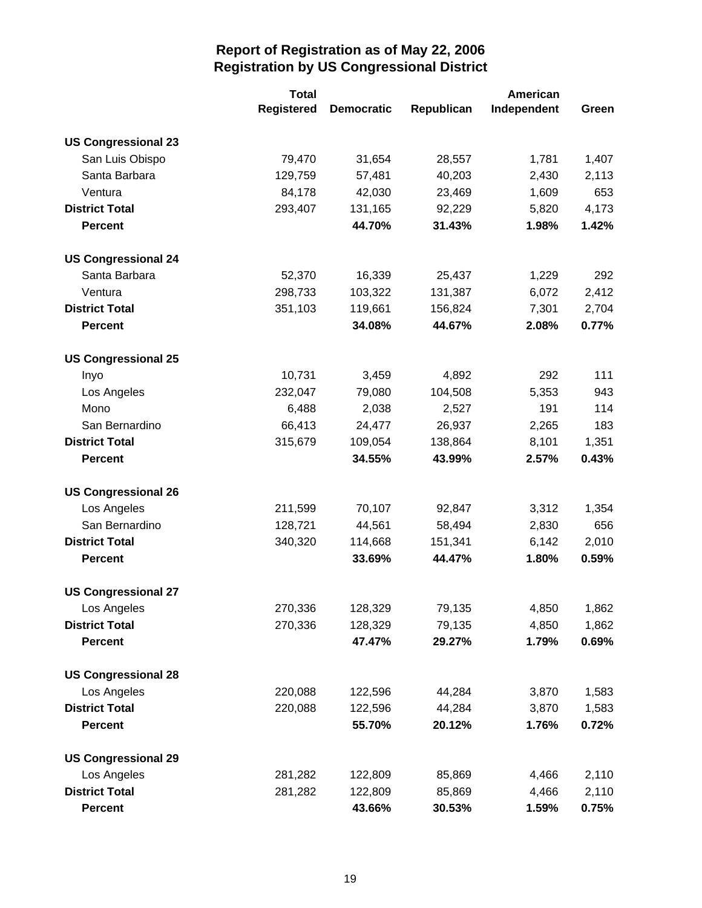|                            | <b>Total</b>      |                   |            | American    |       |
|----------------------------|-------------------|-------------------|------------|-------------|-------|
|                            | <b>Registered</b> | <b>Democratic</b> | Republican | Independent | Green |
| <b>US Congressional 23</b> |                   |                   |            |             |       |
| San Luis Obispo            | 79,470            | 31,654            | 28,557     | 1,781       | 1,407 |
| Santa Barbara              | 129,759           | 57,481            | 40,203     | 2,430       | 2,113 |
| Ventura                    | 84,178            | 42,030            | 23,469     | 1,609       | 653   |
| <b>District Total</b>      | 293,407           | 131,165           | 92,229     | 5,820       | 4,173 |
| <b>Percent</b>             |                   | 44.70%            | 31.43%     | 1.98%       | 1.42% |
| <b>US Congressional 24</b> |                   |                   |            |             |       |
| Santa Barbara              | 52,370            | 16,339            | 25,437     | 1,229       | 292   |
| Ventura                    | 298,733           | 103,322           | 131,387    | 6,072       | 2,412 |
| <b>District Total</b>      | 351,103           | 119,661           | 156,824    | 7,301       | 2,704 |
| <b>Percent</b>             |                   | 34.08%            | 44.67%     | 2.08%       | 0.77% |
| <b>US Congressional 25</b> |                   |                   |            |             |       |
| Inyo                       | 10,731            | 3,459             | 4,892      | 292         | 111   |
| Los Angeles                | 232,047           | 79,080            | 104,508    | 5,353       | 943   |
| Mono                       | 6,488             | 2,038             | 2,527      | 191         | 114   |
| San Bernardino             | 66,413            | 24,477            | 26,937     | 2,265       | 183   |
| <b>District Total</b>      | 315,679           | 109,054           | 138,864    | 8,101       | 1,351 |
| <b>Percent</b>             |                   | 34.55%            | 43.99%     | 2.57%       | 0.43% |
| <b>US Congressional 26</b> |                   |                   |            |             |       |
| Los Angeles                | 211,599           | 70,107            | 92,847     | 3,312       | 1,354 |
| San Bernardino             | 128,721           | 44,561            | 58,494     | 2,830       | 656   |
| <b>District Total</b>      | 340,320           | 114,668           | 151,341    | 6,142       | 2,010 |
| <b>Percent</b>             |                   | 33.69%            | 44.47%     | 1.80%       | 0.59% |
| <b>US Congressional 27</b> |                   |                   |            |             |       |
| Los Angeles                | 270,336           | 128,329           | 79,135     | 4,850       | 1,862 |
| <b>District Total</b>      | 270,336           | 128,329           | 79,135     | 4,850       | 1,862 |
| <b>Percent</b>             |                   | 47.47%            | 29.27%     | 1.79%       | 0.69% |
| <b>US Congressional 28</b> |                   |                   |            |             |       |
| Los Angeles                | 220,088           | 122,596           | 44,284     | 3,870       | 1,583 |
| <b>District Total</b>      | 220,088           | 122,596           | 44,284     | 3,870       | 1,583 |
| <b>Percent</b>             |                   | 55.70%            | 20.12%     | 1.76%       | 0.72% |
| <b>US Congressional 29</b> |                   |                   |            |             |       |
| Los Angeles                | 281,282           | 122,809           | 85,869     | 4,466       | 2,110 |
| <b>District Total</b>      | 281,282           | 122,809           | 85,869     | 4,466       | 2,110 |
| <b>Percent</b>             |                   | 43.66%            | 30.53%     | 1.59%       | 0.75% |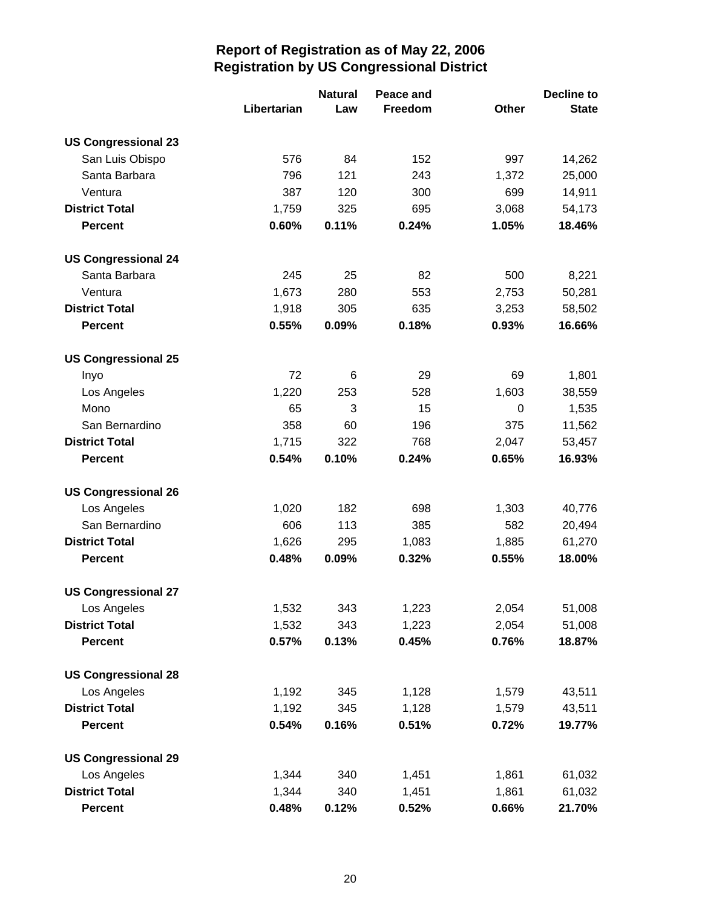|                            |             | <b>Natural</b> | Peace and |       | <b>Decline to</b> |
|----------------------------|-------------|----------------|-----------|-------|-------------------|
|                            | Libertarian | Law            | Freedom   | Other | <b>State</b>      |
| <b>US Congressional 23</b> |             |                |           |       |                   |
| San Luis Obispo            | 576         | 84             | 152       | 997   | 14,262            |
| Santa Barbara              | 796         | 121            | 243       | 1,372 | 25,000            |
| Ventura                    | 387         | 120            | 300       | 699   | 14,911            |
| <b>District Total</b>      | 1,759       | 325            | 695       | 3,068 | 54,173            |
| <b>Percent</b>             | 0.60%       | 0.11%          | 0.24%     | 1.05% | 18.46%            |
| <b>US Congressional 24</b> |             |                |           |       |                   |
| Santa Barbara              | 245         | 25             | 82        | 500   | 8,221             |
| Ventura                    | 1,673       | 280            | 553       | 2,753 | 50,281            |
| <b>District Total</b>      | 1,918       | 305            | 635       | 3,253 | 58,502            |
| <b>Percent</b>             | 0.55%       | 0.09%          | 0.18%     | 0.93% | 16.66%            |
| <b>US Congressional 25</b> |             |                |           |       |                   |
| Inyo                       | 72          | 6              | 29        | 69    | 1,801             |
| Los Angeles                | 1,220       | 253            | 528       | 1,603 | 38,559            |
| Mono                       | 65          | 3              | 15        | 0     | 1,535             |
| San Bernardino             | 358         | 60             | 196       | 375   | 11,562            |
| <b>District Total</b>      | 1,715       | 322            | 768       | 2,047 | 53,457            |
| <b>Percent</b>             | 0.54%       | 0.10%          | 0.24%     | 0.65% | 16.93%            |
| <b>US Congressional 26</b> |             |                |           |       |                   |
| Los Angeles                | 1,020       | 182            | 698       | 1,303 | 40,776            |
| San Bernardino             | 606         | 113            | 385       | 582   | 20,494            |
| <b>District Total</b>      | 1,626       | 295            | 1,083     | 1,885 | 61,270            |
| <b>Percent</b>             | 0.48%       | 0.09%          | 0.32%     | 0.55% | 18.00%            |
| <b>US Congressional 27</b> |             |                |           |       |                   |
| Los Angeles                | 1,532       | 343            | 1,223     | 2,054 | 51,008            |
| <b>District Total</b>      | 1,532       | 343            | 1,223     | 2,054 | 51,008            |
| <b>Percent</b>             | 0.57%       | 0.13%          | 0.45%     | 0.76% | 18.87%            |
| <b>US Congressional 28</b> |             |                |           |       |                   |
| Los Angeles                | 1,192       | 345            | 1,128     | 1,579 | 43,511            |
| <b>District Total</b>      | 1,192       | 345            | 1,128     | 1,579 | 43,511            |
| <b>Percent</b>             | 0.54%       | 0.16%          | 0.51%     | 0.72% | 19.77%            |
| <b>US Congressional 29</b> |             |                |           |       |                   |
| Los Angeles                | 1,344       | 340            | 1,451     | 1,861 | 61,032            |
| <b>District Total</b>      | 1,344       | 340            | 1,451     | 1,861 | 61,032            |
| <b>Percent</b>             | 0.48%       | 0.12%          | 0.52%     | 0.66% | 21.70%            |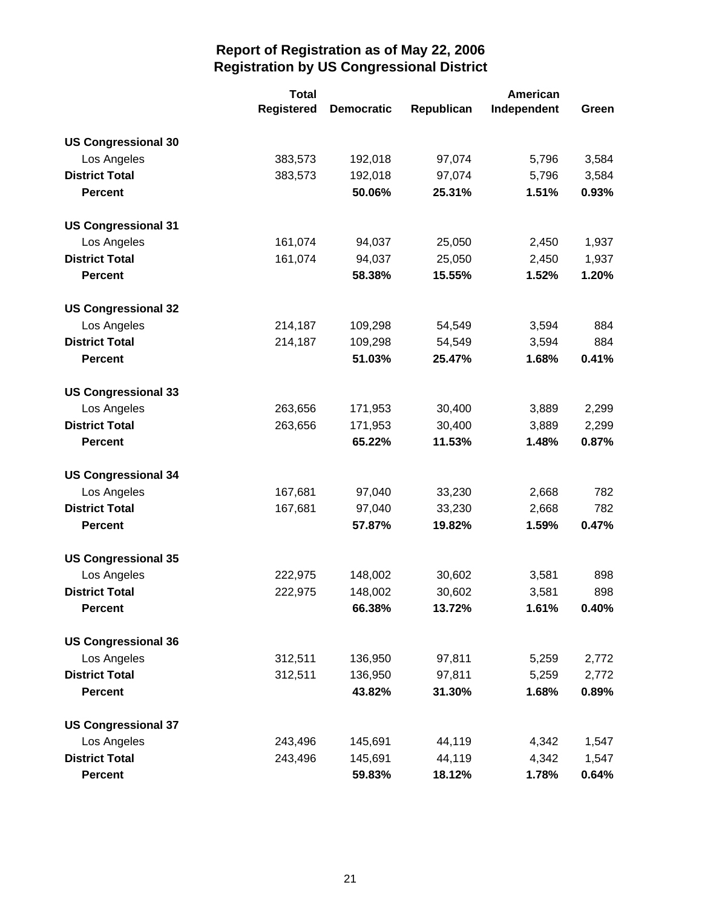|                            | <b>Total</b>      |                   | American   |             |       |
|----------------------------|-------------------|-------------------|------------|-------------|-------|
|                            | <b>Registered</b> | <b>Democratic</b> | Republican | Independent | Green |
| <b>US Congressional 30</b> |                   |                   |            |             |       |
| Los Angeles                | 383,573           | 192,018           | 97,074     | 5,796       | 3,584 |
| <b>District Total</b>      | 383,573           | 192,018           | 97,074     | 5,796       | 3,584 |
| <b>Percent</b>             |                   | 50.06%            | 25.31%     | 1.51%       | 0.93% |
| <b>US Congressional 31</b> |                   |                   |            |             |       |
| Los Angeles                | 161,074           | 94,037            | 25,050     | 2,450       | 1,937 |
| <b>District Total</b>      | 161,074           | 94,037            | 25,050     | 2,450       | 1,937 |
| <b>Percent</b>             |                   | 58.38%            | 15.55%     | 1.52%       | 1.20% |
| <b>US Congressional 32</b> |                   |                   |            |             |       |
| Los Angeles                | 214,187           | 109,298           | 54,549     | 3,594       | 884   |
| <b>District Total</b>      | 214,187           | 109,298           | 54,549     | 3,594       | 884   |
| <b>Percent</b>             |                   | 51.03%            | 25.47%     | 1.68%       | 0.41% |
| <b>US Congressional 33</b> |                   |                   |            |             |       |
| Los Angeles                | 263,656           | 171,953           | 30,400     | 3,889       | 2,299 |
| <b>District Total</b>      | 263,656           | 171,953           | 30,400     | 3,889       | 2,299 |
| <b>Percent</b>             |                   | 65.22%            | 11.53%     | 1.48%       | 0.87% |
| <b>US Congressional 34</b> |                   |                   |            |             |       |
| Los Angeles                | 167,681           | 97,040            | 33,230     | 2,668       | 782   |
| <b>District Total</b>      | 167,681           | 97,040            | 33,230     | 2,668       | 782   |
| <b>Percent</b>             |                   | 57.87%            | 19.82%     | 1.59%       | 0.47% |
| <b>US Congressional 35</b> |                   |                   |            |             |       |
| Los Angeles                | 222,975           | 148,002           | 30,602     | 3,581       | 898   |
| <b>District Total</b>      | 222,975           | 148,002           | 30,602     | 3,581       | 898   |
| <b>Percent</b>             |                   | 66.38%            | 13.72%     | 1.61%       | 0.40% |
| <b>US Congressional 36</b> |                   |                   |            |             |       |
| Los Angeles                | 312,511           | 136,950           | 97,811     | 5,259       | 2,772 |
| <b>District Total</b>      | 312,511           | 136,950           | 97,811     | 5,259       | 2,772 |
| <b>Percent</b>             |                   | 43.82%            | 31.30%     | 1.68%       | 0.89% |
| <b>US Congressional 37</b> |                   |                   |            |             |       |
| Los Angeles                | 243,496           | 145,691           | 44,119     | 4,342       | 1,547 |
| <b>District Total</b>      | 243,496           | 145,691           | 44,119     | 4,342       | 1,547 |
| <b>Percent</b>             |                   | 59.83%            | 18.12%     | 1.78%       | 0.64% |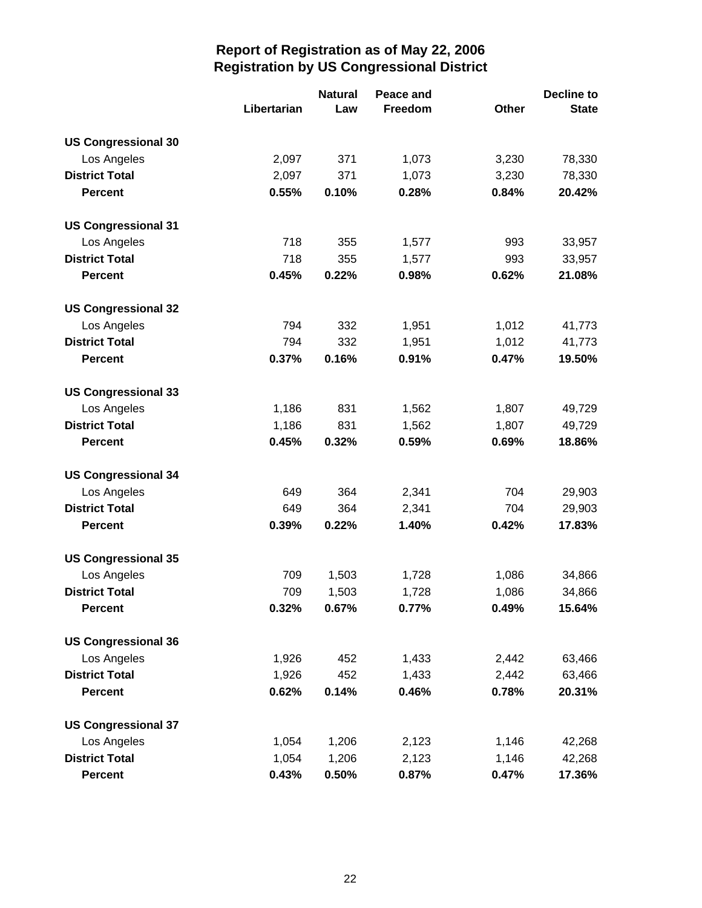|                            |             | <b>Natural</b><br>Peace and |         |       | <b>Decline to</b> |  |
|----------------------------|-------------|-----------------------------|---------|-------|-------------------|--|
|                            | Libertarian | Law                         | Freedom | Other | <b>State</b>      |  |
| <b>US Congressional 30</b> |             |                             |         |       |                   |  |
| Los Angeles                | 2,097       | 371                         | 1,073   | 3,230 | 78,330            |  |
| <b>District Total</b>      | 2,097       | 371                         | 1,073   | 3,230 | 78,330            |  |
| <b>Percent</b>             | 0.55%       | 0.10%                       | 0.28%   | 0.84% | 20.42%            |  |
| <b>US Congressional 31</b> |             |                             |         |       |                   |  |
| Los Angeles                | 718         | 355                         | 1,577   | 993   | 33,957            |  |
| <b>District Total</b>      | 718         | 355                         | 1,577   | 993   | 33,957            |  |
| <b>Percent</b>             | 0.45%       | 0.22%                       | 0.98%   | 0.62% | 21.08%            |  |
| <b>US Congressional 32</b> |             |                             |         |       |                   |  |
| Los Angeles                | 794         | 332                         | 1,951   | 1,012 | 41,773            |  |
| <b>District Total</b>      | 794         | 332                         | 1,951   | 1,012 | 41,773            |  |
| <b>Percent</b>             | 0.37%       | 0.16%                       | 0.91%   | 0.47% | 19.50%            |  |
| <b>US Congressional 33</b> |             |                             |         |       |                   |  |
| Los Angeles                | 1,186       | 831                         | 1,562   | 1,807 | 49,729            |  |
| <b>District Total</b>      | 1,186       | 831                         | 1,562   | 1,807 | 49,729            |  |
| <b>Percent</b>             | 0.45%       | 0.32%                       | 0.59%   | 0.69% | 18.86%            |  |
| <b>US Congressional 34</b> |             |                             |         |       |                   |  |
| Los Angeles                | 649         | 364                         | 2,341   | 704   | 29,903            |  |
| <b>District Total</b>      | 649         | 364                         | 2,341   | 704   | 29,903            |  |
| <b>Percent</b>             | 0.39%       | 0.22%                       | 1.40%   | 0.42% | 17.83%            |  |
| <b>US Congressional 35</b> |             |                             |         |       |                   |  |
| Los Angeles                | 709         | 1,503                       | 1,728   | 1,086 | 34,866            |  |
| <b>District Total</b>      | 709         | 1,503                       | 1,728   | 1,086 | 34,866            |  |
| <b>Percent</b>             | 0.32%       | 0.67%                       | 0.77%   | 0.49% | 15.64%            |  |
| <b>US Congressional 36</b> |             |                             |         |       |                   |  |
| Los Angeles                | 1,926       | 452                         | 1,433   | 2,442 | 63,466            |  |
| <b>District Total</b>      | 1,926       | 452                         | 1,433   | 2,442 | 63,466            |  |
| <b>Percent</b>             | 0.62%       | 0.14%                       | 0.46%   | 0.78% | 20.31%            |  |
| <b>US Congressional 37</b> |             |                             |         |       |                   |  |
| Los Angeles                | 1,054       | 1,206                       | 2,123   | 1,146 | 42,268            |  |
| <b>District Total</b>      | 1,054       | 1,206                       | 2,123   | 1,146 | 42,268            |  |
| <b>Percent</b>             | 0.43%       | 0.50%                       | 0.87%   | 0.47% | 17.36%            |  |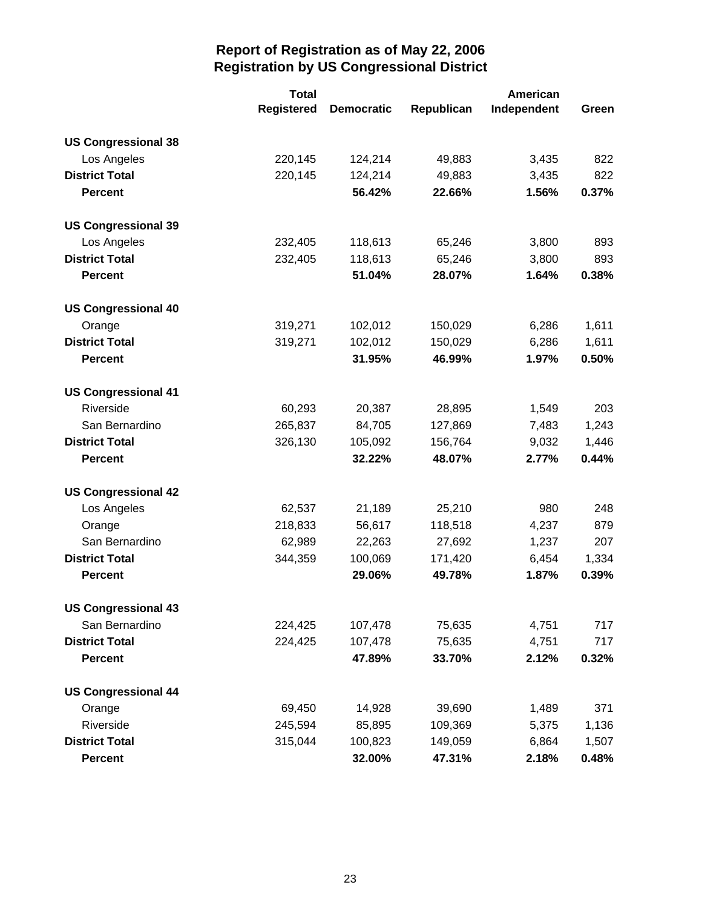|                            | <b>Total</b>      |                   | American   |             |       |
|----------------------------|-------------------|-------------------|------------|-------------|-------|
|                            | <b>Registered</b> | <b>Democratic</b> | Republican | Independent | Green |
| <b>US Congressional 38</b> |                   |                   |            |             |       |
| Los Angeles                | 220,145           | 124,214           | 49,883     | 3,435       | 822   |
| <b>District Total</b>      | 220,145           | 124,214           | 49,883     | 3,435       | 822   |
| <b>Percent</b>             |                   | 56.42%            | 22.66%     | 1.56%       | 0.37% |
| <b>US Congressional 39</b> |                   |                   |            |             |       |
| Los Angeles                | 232,405           | 118,613           | 65,246     | 3,800       | 893   |
| <b>District Total</b>      | 232,405           | 118,613           | 65,246     | 3,800       | 893   |
| <b>Percent</b>             |                   | 51.04%            | 28.07%     | 1.64%       | 0.38% |
| <b>US Congressional 40</b> |                   |                   |            |             |       |
| Orange                     | 319,271           | 102,012           | 150,029    | 6,286       | 1,611 |
| <b>District Total</b>      | 319,271           | 102,012           | 150,029    | 6,286       | 1,611 |
| <b>Percent</b>             |                   | 31.95%            | 46.99%     | 1.97%       | 0.50% |
| <b>US Congressional 41</b> |                   |                   |            |             |       |
| Riverside                  | 60,293            | 20,387            | 28,895     | 1,549       | 203   |
| San Bernardino             | 265,837           | 84,705            | 127,869    | 7,483       | 1,243 |
| <b>District Total</b>      | 326,130           | 105,092           | 156,764    | 9,032       | 1,446 |
| <b>Percent</b>             |                   | 32.22%            | 48.07%     | 2.77%       | 0.44% |
| <b>US Congressional 42</b> |                   |                   |            |             |       |
| Los Angeles                | 62,537            | 21,189            | 25,210     | 980         | 248   |
| Orange                     | 218,833           | 56,617            | 118,518    | 4,237       | 879   |
| San Bernardino             | 62,989            | 22,263            | 27,692     | 1,237       | 207   |
| <b>District Total</b>      | 344,359           | 100,069           | 171,420    | 6,454       | 1,334 |
| <b>Percent</b>             |                   | 29.06%            | 49.78%     | 1.87%       | 0.39% |
| <b>US Congressional 43</b> |                   |                   |            |             |       |
| San Bernardino             | 224,425           | 107,478           | 75,635     | 4,751       | 717   |
| <b>District Total</b>      | 224,425           | 107,478           | 75,635     | 4,751       | 717   |
| <b>Percent</b>             |                   | 47.89%            | 33.70%     | 2.12%       | 0.32% |
| <b>US Congressional 44</b> |                   |                   |            |             |       |
| Orange                     | 69,450            | 14,928            | 39,690     | 1,489       | 371   |
| Riverside                  | 245,594           | 85,895            | 109,369    | 5,375       | 1,136 |
| <b>District Total</b>      | 315,044           | 100,823           | 149,059    | 6,864       | 1,507 |
| <b>Percent</b>             |                   | 32.00%            | 47.31%     | 2.18%       | 0.48% |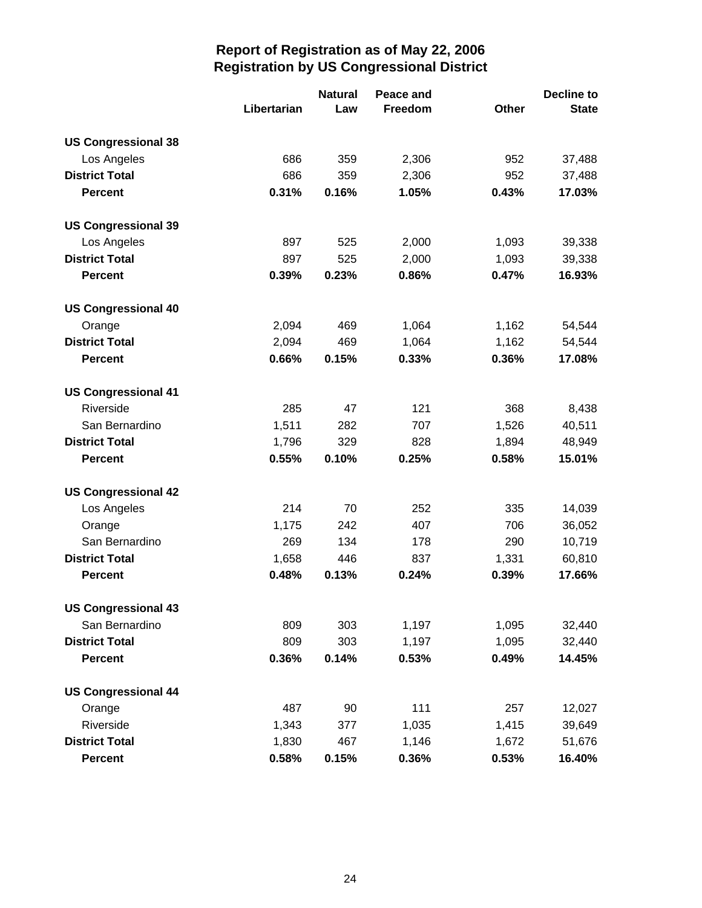|                            |             | <b>Natural</b> | Peace and |              | <b>Decline to</b> |
|----------------------------|-------------|----------------|-----------|--------------|-------------------|
|                            | Libertarian | Law            | Freedom   | <b>Other</b> | <b>State</b>      |
| <b>US Congressional 38</b> |             |                |           |              |                   |
| Los Angeles                | 686         | 359            | 2,306     | 952          | 37,488            |
| <b>District Total</b>      | 686         | 359            | 2,306     | 952          | 37,488            |
| <b>Percent</b>             | 0.31%       | 0.16%          | 1.05%     | 0.43%        | 17.03%            |
| <b>US Congressional 39</b> |             |                |           |              |                   |
| Los Angeles                | 897         | 525            | 2,000     | 1,093        | 39,338            |
| <b>District Total</b>      | 897         | 525            | 2,000     | 1,093        | 39,338            |
| <b>Percent</b>             | 0.39%       | 0.23%          | 0.86%     | 0.47%        | 16.93%            |
| <b>US Congressional 40</b> |             |                |           |              |                   |
| Orange                     | 2,094       | 469            | 1,064     | 1,162        | 54,544            |
| <b>District Total</b>      | 2,094       | 469            | 1,064     | 1,162        | 54,544            |
| <b>Percent</b>             | 0.66%       | 0.15%          | 0.33%     | 0.36%        | 17.08%            |
| <b>US Congressional 41</b> |             |                |           |              |                   |
| Riverside                  | 285         | 47             | 121       | 368          | 8,438             |
| San Bernardino             | 1,511       | 282            | 707       | 1,526        | 40,511            |
| <b>District Total</b>      | 1,796       | 329            | 828       | 1,894        | 48,949            |
| <b>Percent</b>             | 0.55%       | 0.10%          | 0.25%     | 0.58%        | 15.01%            |
| <b>US Congressional 42</b> |             |                |           |              |                   |
| Los Angeles                | 214         | 70             | 252       | 335          | 14,039            |
| Orange                     | 1,175       | 242            | 407       | 706          | 36,052            |
| San Bernardino             | 269         | 134            | 178       | 290          | 10,719            |
| <b>District Total</b>      | 1,658       | 446            | 837       | 1,331        | 60,810            |
| <b>Percent</b>             | 0.48%       | 0.13%          | 0.24%     | 0.39%        | 17.66%            |
| <b>US Congressional 43</b> |             |                |           |              |                   |
| San Bernardino             | 809         | 303            | 1,197     | 1,095        | 32,440            |
| <b>District Total</b>      | 809         | 303            | 1,197     | 1,095        | 32,440            |
| <b>Percent</b>             | 0.36%       | 0.14%          | 0.53%     | 0.49%        | 14.45%            |
| <b>US Congressional 44</b> |             |                |           |              |                   |
| Orange                     | 487         | 90             | 111       | 257          | 12,027            |
| Riverside                  | 1,343       | 377            | 1,035     | 1,415        | 39,649            |
| <b>District Total</b>      | 1,830       | 467            | 1,146     | 1,672        | 51,676            |
| <b>Percent</b>             | 0.58%       | 0.15%          | 0.36%     | 0.53%        | 16.40%            |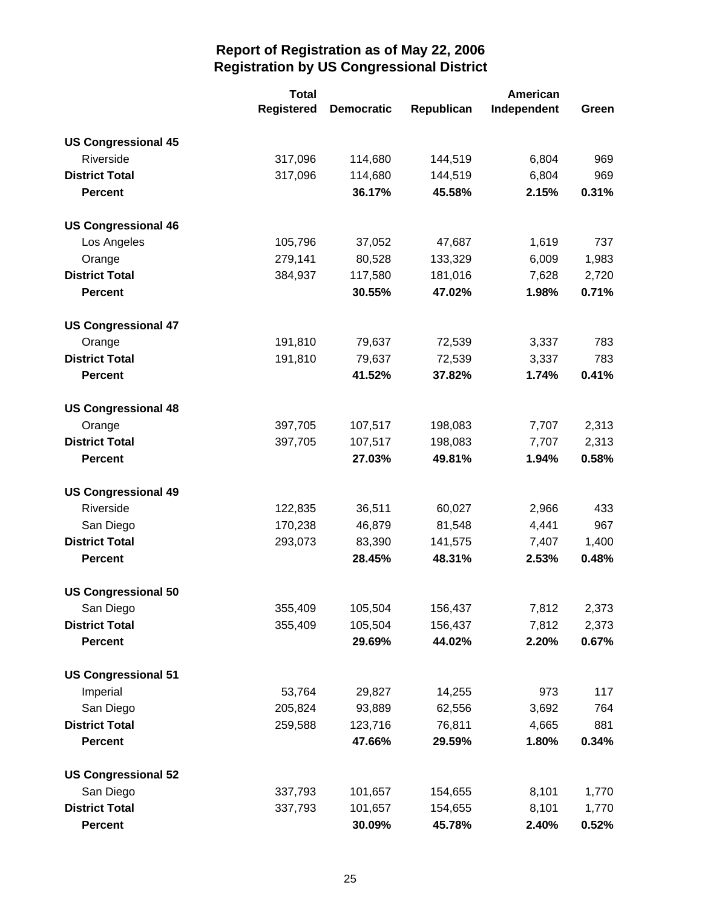|                            | <b>Total</b>      |                   |            | American    |       |
|----------------------------|-------------------|-------------------|------------|-------------|-------|
|                            | <b>Registered</b> | <b>Democratic</b> | Republican | Independent | Green |
| <b>US Congressional 45</b> |                   |                   |            |             |       |
| Riverside                  | 317,096           | 114,680           | 144,519    | 6,804       | 969   |
| <b>District Total</b>      | 317,096           | 114,680           | 144,519    | 6,804       | 969   |
| <b>Percent</b>             |                   | 36.17%            | 45.58%     | 2.15%       | 0.31% |
| <b>US Congressional 46</b> |                   |                   |            |             |       |
| Los Angeles                | 105,796           | 37,052            | 47,687     | 1,619       | 737   |
| Orange                     | 279,141           | 80,528            | 133,329    | 6,009       | 1,983 |
| <b>District Total</b>      | 384,937           | 117,580           | 181,016    | 7,628       | 2,720 |
| <b>Percent</b>             |                   | 30.55%            | 47.02%     | 1.98%       | 0.71% |
| <b>US Congressional 47</b> |                   |                   |            |             |       |
| Orange                     | 191,810           | 79,637            | 72,539     | 3,337       | 783   |
| <b>District Total</b>      | 191,810           | 79,637            | 72,539     | 3,337       | 783   |
| <b>Percent</b>             |                   | 41.52%            | 37.82%     | 1.74%       | 0.41% |
| <b>US Congressional 48</b> |                   |                   |            |             |       |
| Orange                     | 397,705           | 107,517           | 198,083    | 7,707       | 2,313 |
| <b>District Total</b>      | 397,705           | 107,517           | 198,083    | 7,707       | 2,313 |
| <b>Percent</b>             |                   | 27.03%            | 49.81%     | 1.94%       | 0.58% |
| <b>US Congressional 49</b> |                   |                   |            |             |       |
| Riverside                  | 122,835           | 36,511            | 60,027     | 2,966       | 433   |
| San Diego                  | 170,238           | 46,879            | 81,548     | 4,441       | 967   |
| <b>District Total</b>      | 293,073           | 83,390            | 141,575    | 7,407       | 1,400 |
| <b>Percent</b>             |                   | 28.45%            | 48.31%     | 2.53%       | 0.48% |
| <b>US Congressional 50</b> |                   |                   |            |             |       |
| San Diego                  | 355,409           | 105,504           | 156,437    | 7,812       | 2,373 |
| <b>District Total</b>      | 355,409           | 105,504           | 156,437    | 7,812       | 2,373 |
| <b>Percent</b>             |                   | 29.69%            | 44.02%     | 2.20%       | 0.67% |
| <b>US Congressional 51</b> |                   |                   |            |             |       |
| Imperial                   | 53,764            | 29,827            | 14,255     | 973         | 117   |
| San Diego                  | 205,824           | 93,889            | 62,556     | 3,692       | 764   |
| <b>District Total</b>      | 259,588           | 123,716           | 76,811     | 4,665       | 881   |
| <b>Percent</b>             |                   | 47.66%            | 29.59%     | 1.80%       | 0.34% |
| <b>US Congressional 52</b> |                   |                   |            |             |       |
| San Diego                  | 337,793           | 101,657           | 154,655    | 8,101       | 1,770 |
| <b>District Total</b>      | 337,793           | 101,657           | 154,655    | 8,101       | 1,770 |
| <b>Percent</b>             |                   | 30.09%            | 45.78%     | 2.40%       | 0.52% |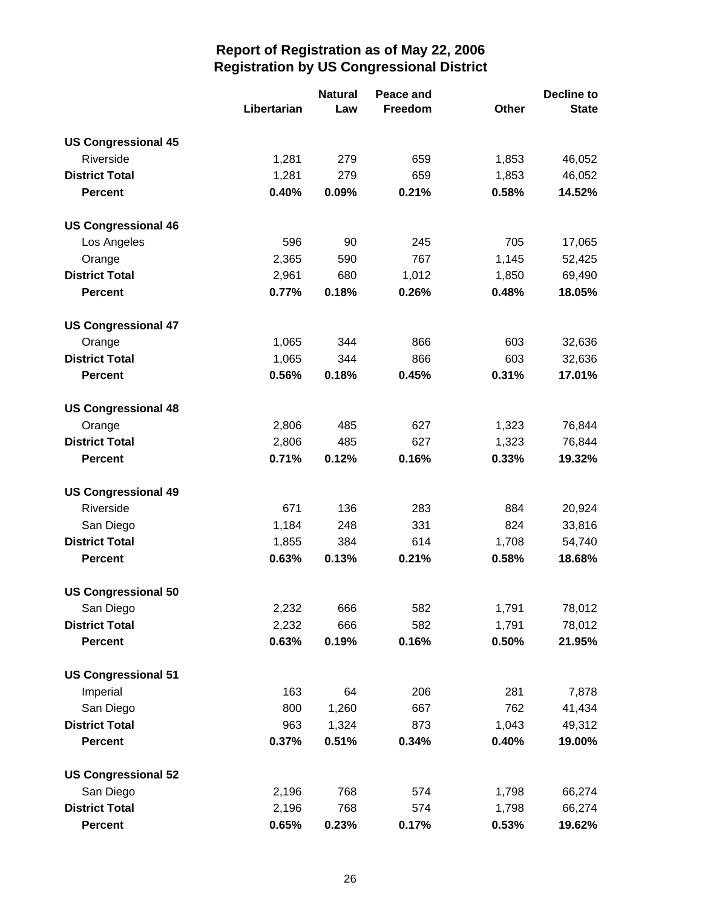|                            |             | <b>Natural</b> | Peace and |       | <b>Decline to</b> |
|----------------------------|-------------|----------------|-----------|-------|-------------------|
|                            | Libertarian | Law            | Freedom   | Other | <b>State</b>      |
| <b>US Congressional 45</b> |             |                |           |       |                   |
| Riverside                  | 1,281       | 279            | 659       | 1,853 | 46,052            |
| <b>District Total</b>      | 1,281       | 279            | 659       | 1,853 | 46,052            |
| <b>Percent</b>             | 0.40%       | 0.09%          | 0.21%     | 0.58% | 14.52%            |
| <b>US Congressional 46</b> |             |                |           |       |                   |
| Los Angeles                | 596         | 90             | 245       | 705   | 17,065            |
| Orange                     | 2,365       | 590            | 767       | 1,145 | 52,425            |
| <b>District Total</b>      | 2,961       | 680            | 1,012     | 1,850 | 69,490            |
| <b>Percent</b>             | 0.77%       | 0.18%          | 0.26%     | 0.48% | 18.05%            |
| <b>US Congressional 47</b> |             |                |           |       |                   |
| Orange                     | 1,065       | 344            | 866       | 603   | 32,636            |
| <b>District Total</b>      | 1,065       | 344            | 866       | 603   | 32,636            |
| <b>Percent</b>             | 0.56%       | 0.18%          | 0.45%     | 0.31% | 17.01%            |
| <b>US Congressional 48</b> |             |                |           |       |                   |
| Orange                     | 2,806       | 485            | 627       | 1,323 | 76,844            |
| <b>District Total</b>      | 2,806       | 485            | 627       | 1,323 | 76,844            |
| <b>Percent</b>             | 0.71%       | 0.12%          | 0.16%     | 0.33% | 19.32%            |
| <b>US Congressional 49</b> |             |                |           |       |                   |
| Riverside                  | 671         | 136            | 283       | 884   | 20,924            |
| San Diego                  | 1,184       | 248            | 331       | 824   | 33,816            |
| <b>District Total</b>      | 1,855       | 384            | 614       | 1,708 | 54,740            |
| <b>Percent</b>             | 0.63%       | 0.13%          | 0.21%     | 0.58% | 18.68%            |
| <b>US Congressional 50</b> |             |                |           |       |                   |
| San Diego                  | 2,232       | 666            | 582       | 1,791 | 78,012            |
| <b>District Total</b>      | 2,232       | 666            | 582       | 1,791 | 78,012            |
| <b>Percent</b>             | 0.63%       | 0.19%          | 0.16%     | 0.50% | 21.95%            |
| <b>US Congressional 51</b> |             |                |           |       |                   |
| Imperial                   | 163         | 64             | 206       | 281   | 7,878             |
| San Diego                  | 800         | 1,260          | 667       | 762   | 41,434            |
| <b>District Total</b>      | 963         | 1,324          | 873       | 1,043 | 49,312            |
| <b>Percent</b>             | 0.37%       | 0.51%          | 0.34%     | 0.40% | 19.00%            |
| <b>US Congressional 52</b> |             |                |           |       |                   |
| San Diego                  | 2,196       | 768            | 574       | 1,798 | 66,274            |
| <b>District Total</b>      | 2,196       | 768            | 574       | 1,798 | 66,274            |
| <b>Percent</b>             | 0.65%       | 0.23%          | 0.17%     | 0.53% | 19.62%            |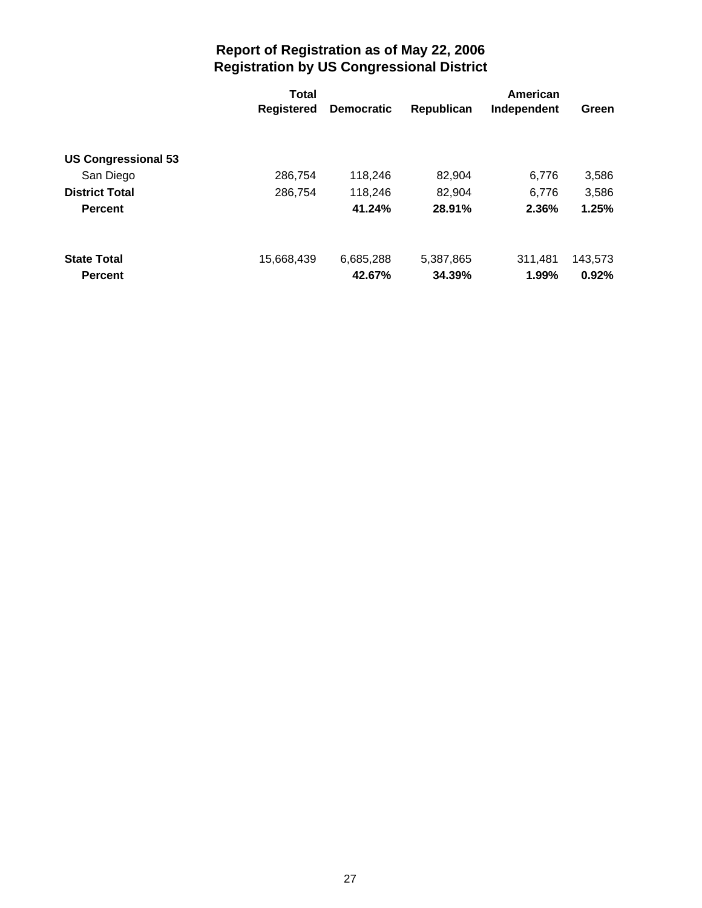|                            | <b>Total</b>      |                   |            | American    |         |
|----------------------------|-------------------|-------------------|------------|-------------|---------|
|                            | <b>Registered</b> | <b>Democratic</b> | Republican | Independent | Green   |
|                            |                   |                   |            |             |         |
| <b>US Congressional 53</b> |                   |                   |            |             |         |
| San Diego                  | 286,754           | 118,246           | 82,904     | 6.776       | 3,586   |
| <b>District Total</b>      | 286,754           | 118,246           | 82,904     | 6.776       | 3,586   |
| <b>Percent</b>             |                   | 41.24%            | 28.91%     | 2.36%       | 1.25%   |
|                            |                   |                   |            |             |         |
| <b>State Total</b>         | 15,668,439        | 6,685,288         | 5,387,865  | 311.481     | 143,573 |
| <b>Percent</b>             |                   | 42.67%            | 34.39%     | 1.99%       | 0.92%   |